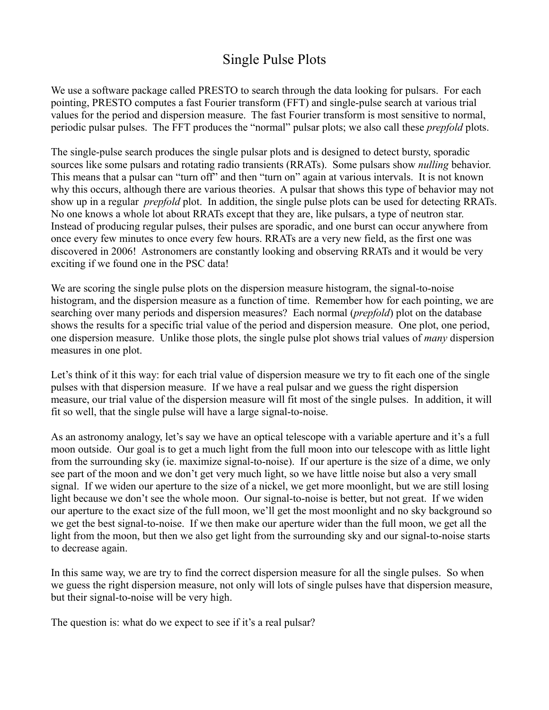# Single Pulse Plots

We use a software package called PRESTO to search through the data looking for pulsars. For each pointing, PRESTO computes a fast Fourier transform (FFT) and single-pulse search at various trial values for the period and dispersion measure. The fast Fourier transform is most sensitive to normal, periodic pulsar pulses. The FFT produces the "normal" pulsar plots; we also call these *prepfold* plots.

The single-pulse search produces the single pulsar plots and is designed to detect bursty, sporadic sources like some pulsars and rotating radio transients (RRATs). Some pulsars show *nulling* behavior. This means that a pulsar can "turn off" and then "turn on" again at various intervals. It is not known why this occurs, although there are various theories. A pulsar that shows this type of behavior may not show up in a regular *prepfold* plot. In addition, the single pulse plots can be used for detecting RRATs. No one knows a whole lot about RRATs except that they are, like pulsars, a type of neutron star. Instead of producing regular pulses, their pulses are sporadic, and one burst can occur anywhere from once every few minutes to once every few hours. RRATs are a very new field, as the first one was discovered in 2006! Astronomers are constantly looking and observing RRATs and it would be very exciting if we found one in the PSC data!

We are scoring the single pulse plots on the dispersion measure histogram, the signal-to-noise histogram, and the dispersion measure as a function of time. Remember how for each pointing, we are searching over many periods and dispersion measures? Each normal (*prepfold*) plot on the database shows the results for a specific trial value of the period and dispersion measure. One plot, one period, one dispersion measure. Unlike those plots, the single pulse plot shows trial values of *many* dispersion measures in one plot.

Let's think of it this way: for each trial value of dispersion measure we try to fit each one of the single pulses with that dispersion measure. If we have a real pulsar and we guess the right dispersion measure, our trial value of the dispersion measure will fit most of the single pulses. In addition, it will fit so well, that the single pulse will have a large signal-to-noise.

As an astronomy analogy, let's say we have an optical telescope with a variable aperture and it's a full moon outside. Our goal is to get a much light from the full moon into our telescope with as little light from the surrounding sky (ie. maximize signal-to-noise). If our aperture is the size of a dime, we only see part of the moon and we don't get very much light, so we have little noise but also a very small signal. If we widen our aperture to the size of a nickel, we get more moonlight, but we are still losing light because we don't see the whole moon. Our signal-to-noise is better, but not great. If we widen our aperture to the exact size of the full moon, we'll get the most moonlight and no sky background so we get the best signal-to-noise. If we then make our aperture wider than the full moon, we get all the light from the moon, but then we also get light from the surrounding sky and our signal-to-noise starts to decrease again.

In this same way, we are try to find the correct dispersion measure for all the single pulses. So when we guess the right dispersion measure, not only will lots of single pulses have that dispersion measure, but their signal-to-noise will be very high.

The question is: what do we expect to see if it's a real pulsar?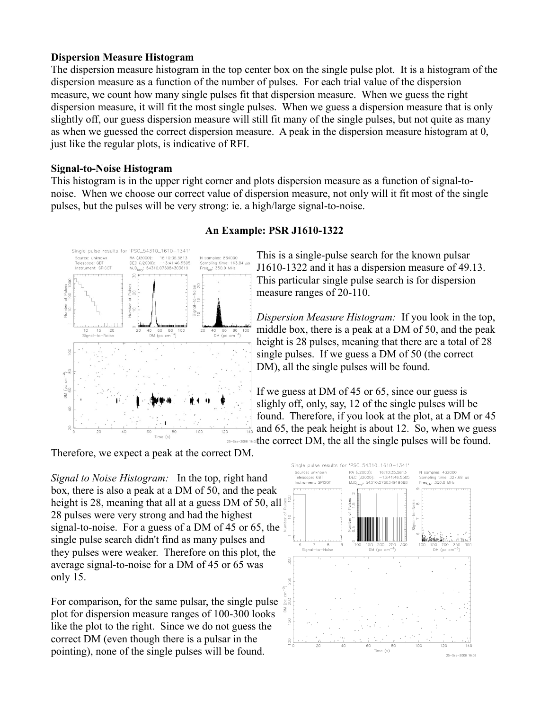#### **Dispersion Measure Histogram**

The dispersion measure histogram in the top center box on the single pulse plot. It is a histogram of the dispersion measure as a function of the number of pulses. For each trial value of the dispersion measure, we count how many single pulses fit that dispersion measure. When we guess the right dispersion measure, it will fit the most single pulses. When we guess a dispersion measure that is only slightly off, our guess dispersion measure will still fit many of the single pulses, but not quite as many as when we guessed the correct dispersion measure. A peak in the dispersion measure histogram at 0, just like the regular plots, is indicative of RFI.

### **Signal-to-Noise Histogram**

This histogram is in the upper right corner and plots dispersion measure as a function of signal-tonoise. When we choose our correct value of dispersion measure, not only will it fit most of the single pulses, but the pulses will be very strong: ie. a high/large signal-to-noise.



## **An Example: PSR J1610-1322**

This is a single-pulse search for the known pulsar J1610-1322 and it has a dispersion measure of 49.13. This particular single pulse search is for dispersion measure ranges of 20-110.

*Dispersion Measure Histogram:* If you look in the top, middle box, there is a peak at a DM of 50, and the peak height is 28 pulses, meaning that there are a total of 28 single pulses. If we guess a DM of 50 (the correct DM), all the single pulses will be found.

If we guess at DM of 45 or 65, since our guess is slighly off, only, say, 12 of the single pulses will be found. Therefore, if you look at the plot, at a DM or 45 and 65, the peak height is about 12. So, when we guess the correct DM, the all the single pulses will be found.

Therefore, we expect a peak at the correct DM.

*Signal to Noise Histogram:* In the top, right hand box, there is also a peak at a DM of 50, and the peak height is 28, meaning that all at a guess DM of 50, all  $\frac{1}{3}$ 28 pulses were very strong and had the highest signal-to-noise. For a guess of a DM of 45 or 65, the single pulse search didn't find as many pulses and they pulses were weaker. Therefore on this plot, the average signal-to-noise for a DM of 45 or 65 was only 15.

For comparison, for the same pulsar, the single pulse plot for dispersion measure ranges of 100-300 looks like the plot to the right. Since we do not guess the correct DM (even though there is a pulsar in the pointing), none of the single pulses will be found.